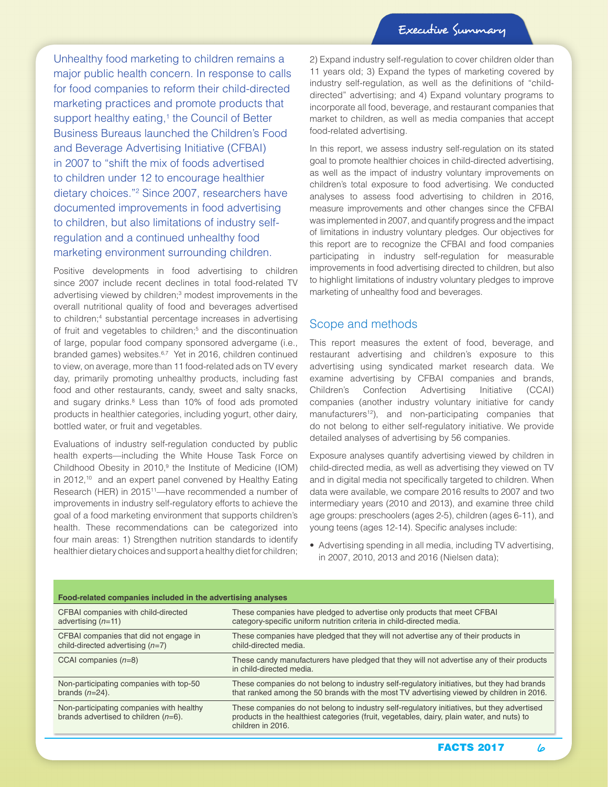Unhealthy food marketing to children remains a major public health concern. In response to calls for food companies to reform their child-directed marketing practices and promote products that support healthy eating,<sup>1</sup> the Council of Better Business Bureaus launched the Children's Food and Beverage Advertising Initiative (CFBAI) in 2007 to "shift the mix of foods advertised to children under 12 to encourage healthier dietary choices."2 Since 2007, researchers have documented improvements in food advertising to children, but also limitations of industry selfregulation and a continued unhealthy food marketing environment surrounding children.

Positive developments in food advertising to children since 2007 include recent declines in total food-related TV advertising viewed by children;<sup>3</sup> modest improvements in the overall nutritional quality of food and beverages advertised to children;<sup>4</sup> substantial percentage increases in advertising of fruit and vegetables to children;<sup>5</sup> and the discontinuation of large, popular food company sponsored advergame (i.e., branded games) websites.<sup>6,7</sup> Yet in 2016, children continued to view, on average, more than 11 food-related ads on TV every day, primarily promoting unhealthy products, including fast food and other restaurants, candy, sweet and salty snacks, and sugary drinks.<sup>8</sup> Less than 10% of food ads promoted products in healthier categories, including yogurt, other dairy, bottled water, or fruit and vegetables.

Evaluations of industry self-regulation conducted by public health experts—including the White House Task Force on Childhood Obesity in  $2010$ ,<sup>9</sup> the Institute of Medicine (IOM) in 2012,<sup>10</sup> and an expert panel convened by Healthy Eating Research (HER) in 2015<sup>11</sup>—have recommended a number of improvements in industry self-regulatory efforts to achieve the goal of a food marketing environment that supports children's health. These recommendations can be categorized into four main areas: 1) Strengthen nutrition standards to identify healthier dietary choices and support a healthy diet for children;

2) Expand industry self-regulation to cover children older than 11 years old; 3) Expand the types of marketing covered by industry self-regulation, as well as the definitions of "childdirected" advertising; and 4) Expand voluntary programs to incorporate all food, beverage, and restaurant companies that market to children, as well as media companies that accept food-related advertising.

In this report, we assess industry self-regulation on its stated goal to promote healthier choices in child-directed advertising, as well as the impact of industry voluntary improvements on children's total exposure to food advertising. We conducted analyses to assess food advertising to children in 2016, measure improvements and other changes since the CFBAI was implemented in 2007, and quantify progress and the impact of limitations in industry voluntary pledges. Our objectives for this report are to recognize the CFBAI and food companies participating in industry self-regulation for measurable improvements in food advertising directed to children, but also to highlight limitations of industry voluntary pledges to improve marketing of unhealthy food and beverages.

#### Scope and methods

This report measures the extent of food, beverage, and restaurant advertising and children's exposure to this advertising using syndicated market research data. We examine advertising by CFBAI companies and brands, Children's Confection Advertising Initiative (CCAI) companies (another industry voluntary initiative for candy manufacturers<sup>12</sup>), and non-participating companies that do not belong to either self-regulatory initiative. We provide detailed analyses of advertising by 56 companies.

Exposure analyses quantify advertising viewed by children in child-directed media, as well as advertising they viewed on TV and in digital media not specifically targeted to children. When data were available, we compare 2016 results to 2007 and two intermediary years (2010 and 2013), and examine three child age groups: preschoolers (ages 2-5), children (ages 6-11), and young teens (ages 12-14). Specific analyses include:

• Advertising spending in all media, including TV advertising, in 2007, 2010, 2013 and 2016 (Nielsen data);

| Food-related companies included in the advertising analyses                         |                                                                                                                                                                                                               |
|-------------------------------------------------------------------------------------|---------------------------------------------------------------------------------------------------------------------------------------------------------------------------------------------------------------|
| CFBAI companies with child-directed                                                 | These companies have pledged to advertise only products that meet CFBAI                                                                                                                                       |
| advertising $(n=11)$                                                                | category-specific uniform nutrition criteria in child-directed media.                                                                                                                                         |
| CFBAI companies that did not engage in                                              | These companies have pledged that they will not advertise any of their products in                                                                                                                            |
| child-directed advertising $(n=7)$                                                  | child-directed media.                                                                                                                                                                                         |
| CCAI companies $(n=8)$                                                              | These candy manufacturers have pledged that they will not advertise any of their products<br>in child-directed media.                                                                                         |
| Non-participating companies with top-50                                             | These companies do not belong to industry self-regulatory initiatives, but they had brands                                                                                                                    |
| brands $(n=24)$ .                                                                   | that ranked among the 50 brands with the most TV advertising viewed by children in 2016.                                                                                                                      |
| Non-participating companies with healthy<br>brands advertised to children $(n=6)$ . | These companies do not belong to industry self-regulatory initiatives, but they advertised<br>products in the healthiest categories (fruit, vegetables, dairy, plain water, and nuts) to<br>children in 2016. |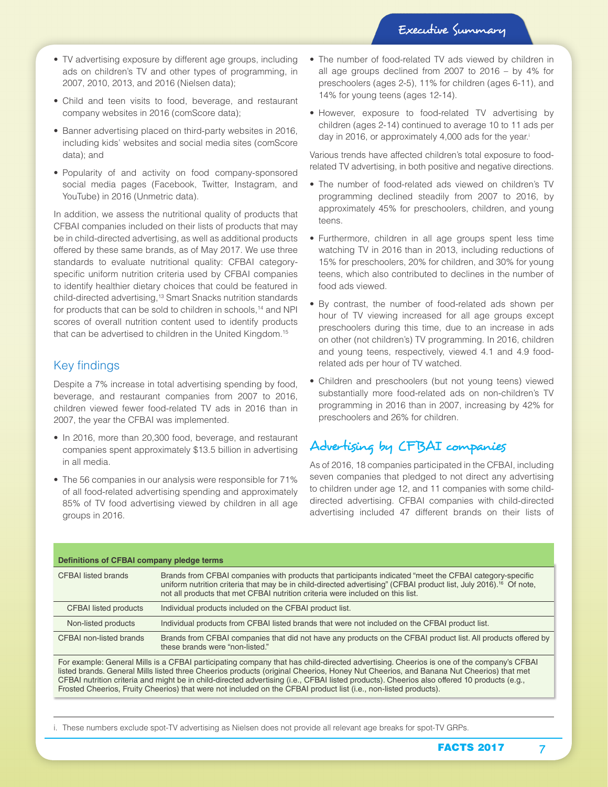- TV advertising exposure by different age groups, including ads on children's TV and other types of programming, in 2007, 2010, 2013, and 2016 (Nielsen data);
- Child and teen visits to food, beverage, and restaurant company websites in 2016 (comScore data);
- Banner advertising placed on third-party websites in 2016, including kids' websites and social media sites (comScore data); and
- Popularity of and activity on food company-sponsored social media pages (Facebook, Twitter, Instagram, and YouTube) in 2016 (Unmetric data).

In addition, we assess the nutritional quality of products that CFBAI companies included on their lists of products that may be in child-directed advertising, as well as additional products offered by these same brands, as of May 2017. We use three standards to evaluate nutritional quality: CFBAI categoryspecific uniform nutrition criteria used by CFBAI companies to identify healthier dietary choices that could be featured in child-directed advertising,13 Smart Snacks nutrition standards for products that can be sold to children in schools,<sup>14</sup> and NPI scores of overall nutrition content used to identify products that can be advertised to children in the United Kingdom.15

#### Key findings

Despite a 7% increase in total advertising spending by food, beverage, and restaurant companies from 2007 to 2016, children viewed fewer food-related TV ads in 2016 than in 2007, the year the CFBAI was implemented.

- In 2016, more than 20,300 food, beverage, and restaurant companies spent approximately \$13.5 billion in advertising in all media.
- The 56 companies in our analysis were responsible for 71% of all food-related advertising spending and approximately 85% of TV food advertising viewed by children in all age groups in 2016.
- The number of food-related TV ads viewed by children in all age groups declined from 2007 to 2016 – by 4% for preschoolers (ages 2-5), 11% for children (ages 6-11), and 14% for young teens (ages 12-14).
- However, exposure to food-related TV advertising by children (ages 2-14) continued to average 10 to 11 ads per day in 2016, or approximately 4,000 ads for the year.<sup>i</sup>

Various trends have affected children's total exposure to foodrelated TV advertising, in both positive and negative directions.

- The number of food-related ads viewed on children's TV programming declined steadily from 2007 to 2016, by approximately 45% for preschoolers, children, and young teens.
- Furthermore, children in all age groups spent less time watching TV in 2016 than in 2013, including reductions of 15% for preschoolers, 20% for children, and 30% for young teens, which also contributed to declines in the number of food ads viewed.
- By contrast, the number of food-related ads shown per hour of TV viewing increased for all age groups except preschoolers during this time, due to an increase in ads on other (not children's) TV programming. In 2016, children and young teens, respectively, viewed 4.1 and 4.9 foodrelated ads per hour of TV watched.
- Children and preschoolers (but not young teens) viewed substantially more food-related ads on non-children's TV programming in 2016 than in 2007, increasing by 42% for preschoolers and 26% for children.

## Advertising by CFBAI companies

As of 2016, 18 companies participated in the CFBAI, including seven companies that pledged to not direct any advertising to children under age 12, and 11 companies with some childdirected advertising. CFBAI companies with child-directed advertising included 47 different brands on their lists of

| Definitions of CFBAI company pledge terms                                                                                                                                                                                                                                                                                                                                                                                                                                                                                                           |                                                                                                                                                                                                                                                                                                                            |
|-----------------------------------------------------------------------------------------------------------------------------------------------------------------------------------------------------------------------------------------------------------------------------------------------------------------------------------------------------------------------------------------------------------------------------------------------------------------------------------------------------------------------------------------------------|----------------------------------------------------------------------------------------------------------------------------------------------------------------------------------------------------------------------------------------------------------------------------------------------------------------------------|
| <b>CFBAI</b> listed brands                                                                                                                                                                                                                                                                                                                                                                                                                                                                                                                          | Brands from CFBAI companies with products that participants indicated "meet the CFBAI category-specific<br>uniform nutrition criteria that may be in child-directed advertising" (CFBAI product list, July 2016). <sup>16</sup> Of note,<br>not all products that met CFBAI nutrition criteria were included on this list. |
| <b>CFBAI</b> listed products                                                                                                                                                                                                                                                                                                                                                                                                                                                                                                                        | Individual products included on the CFBAI product list.                                                                                                                                                                                                                                                                    |
| Non-listed products                                                                                                                                                                                                                                                                                                                                                                                                                                                                                                                                 | Individual products from CFBAI listed brands that were not included on the CFBAI product list.                                                                                                                                                                                                                             |
| CFBAI non-listed brands                                                                                                                                                                                                                                                                                                                                                                                                                                                                                                                             | Brands from CFBAI companies that did not have any products on the CFBAI product list. All products offered by<br>these brands were "non-listed."                                                                                                                                                                           |
| For example: General Mills is a CFBAI participating company that has child-directed advertising. Cheerios is one of the company's CFBAI<br>listed brands. General Mills listed three Cheerios products (original Cheerios, Honey Nut Cheerios, and Banana Nut Cheerios) that met<br>CFBAI nutrition criteria and might be in child-directed advertising (i.e., CFBAI listed products). Cheerios also offered 10 products (e.g.,<br>Frosted Cheerios, Fruity Cheerios) that were not included on the CFBAI product list (i.e., non-listed products). |                                                                                                                                                                                                                                                                                                                            |

i. These numbers exclude spot-TV advertising as Nielsen does not provide all relevant age breaks for spot-TV GRPs.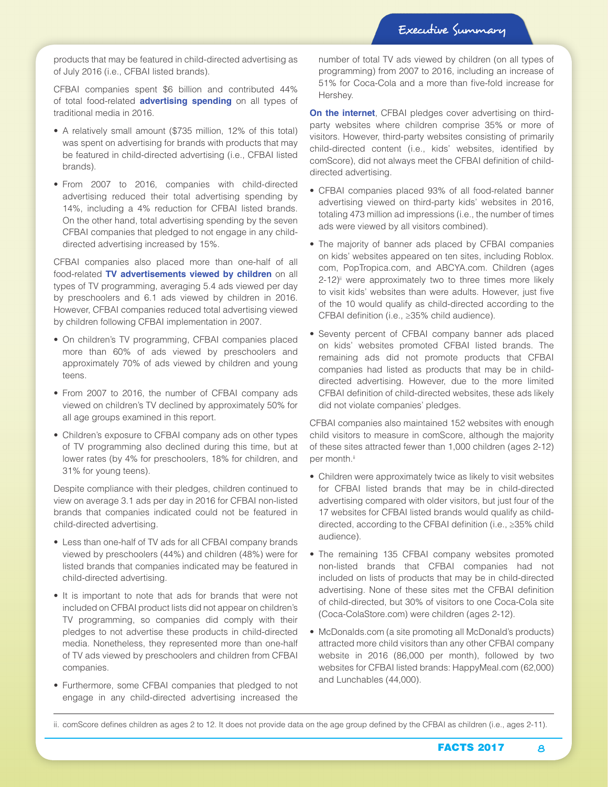products that may be featured in child-directed advertising as of July 2016 (i.e., CFBAI listed brands).

CFBAI companies spent \$6 billion and contributed 44% of total food-related **advertising spending** on all types of traditional media in 2016.

- A relatively small amount (\$735 million, 12% of this total) was spent on advertising for brands with products that may be featured in child-directed advertising (i.e., CFBAI listed brands).
- From 2007 to 2016, companies with child-directed advertising reduced their total advertising spending by 14%, including a 4% reduction for CFBAI listed brands. On the other hand, total advertising spending by the seven CFBAI companies that pledged to not engage in any childdirected advertising increased by 15%.

CFBAI companies also placed more than one-half of all food-related **TV advertisements viewed by children** on all types of TV programming, averaging 5.4 ads viewed per day by preschoolers and 6.1 ads viewed by children in 2016. However, CFBAI companies reduced total advertising viewed by children following CFBAI implementation in 2007.

- On children's TV programming, CFBAI companies placed more than 60% of ads viewed by preschoolers and approximately 70% of ads viewed by children and young teens.
- From 2007 to 2016, the number of CFBAI company ads viewed on children's TV declined by approximately 50% for all age groups examined in this report.
- Children's exposure to CFBAI company ads on other types of TV programming also declined during this time, but at lower rates (by 4% for preschoolers, 18% for children, and 31% for young teens).

Despite compliance with their pledges, children continued to view on average 3.1 ads per day in 2016 for CFBAI non-listed brands that companies indicated could not be featured in child-directed advertising.

- Less than one-half of TV ads for all CFBAI company brands viewed by preschoolers (44%) and children (48%) were for listed brands that companies indicated may be featured in child-directed advertising.
- It is important to note that ads for brands that were not included on CFBAI product lists did not appear on children's TV programming, so companies did comply with their pledges to not advertise these products in child-directed media. Nonetheless, they represented more than one-half of TV ads viewed by preschoolers and children from CFBAI companies.
- Furthermore, some CFBAI companies that pledged to not engage in any child-directed advertising increased the

number of total TV ads viewed by children (on all types of programming) from 2007 to 2016, including an increase of 51% for Coca-Cola and a more than five-fold increase for Hershey.

**On the internet**, CFBAI pledges cover advertising on thirdparty websites where children comprise 35% or more of visitors. However, third-party websites consisting of primarily child-directed content (i.e., kids' websites, identified by comScore), did not always meet the CFBAI definition of childdirected advertising.

- CFBAI companies placed 93% of all food-related banner advertising viewed on third-party kids' websites in 2016, totaling 473 million ad impressions (i.e., the number of times ads were viewed by all visitors combined).
- The majority of banner ads placed by CFBAI companies on kids' websites appeared on ten sites, including Roblox. com, PopTropica.com, and ABCYA.com. Children (ages  $2-12$ <sup>ij</sup> were approximately two to three times more likely to visit kids' websites than were adults. However, just five of the 10 would qualify as child-directed according to the CFBAI definition (i.e., ≥35% child audience).
- Seventy percent of CFBAI company banner ads placed on kids' websites promoted CFBAI listed brands. The remaining ads did not promote products that CFBAI companies had listed as products that may be in childdirected advertising. However, due to the more limited CFBAI definition of child-directed websites, these ads likely did not violate companies' pledges.

CFBAI companies also maintained 152 websites with enough child visitors to measure in comScore, although the majority of these sites attracted fewer than 1,000 children (ages 2-12) per month.ii

- Children were approximately twice as likely to visit websites for CFBAI listed brands that may be in child-directed advertising compared with older visitors, but just four of the 17 websites for CFBAI listed brands would qualify as childdirected, according to the CFBAI definition (i.e., ≥35% child audience).
- The remaining 135 CFBAI company websites promoted non-listed brands that CFBAI companies had not included on lists of products that may be in child-directed advertising. None of these sites met the CFBAI definition of child-directed, but 30% of visitors to one Coca-Cola site (Coca-ColaStore.com) were children (ages 2-12).
- McDonalds.com (a site promoting all McDonald's products) attracted more child visitors than any other CFBAI company website in 2016 (86,000 per month), followed by two websites for CFBAI listed brands: HappyMeal.com (62,000) and Lunchables (44,000).

ii. comScore defines children as ages 2 to 12. It does not provide data on the age group defined by the CFBAI as children (i.e., ages 2-11).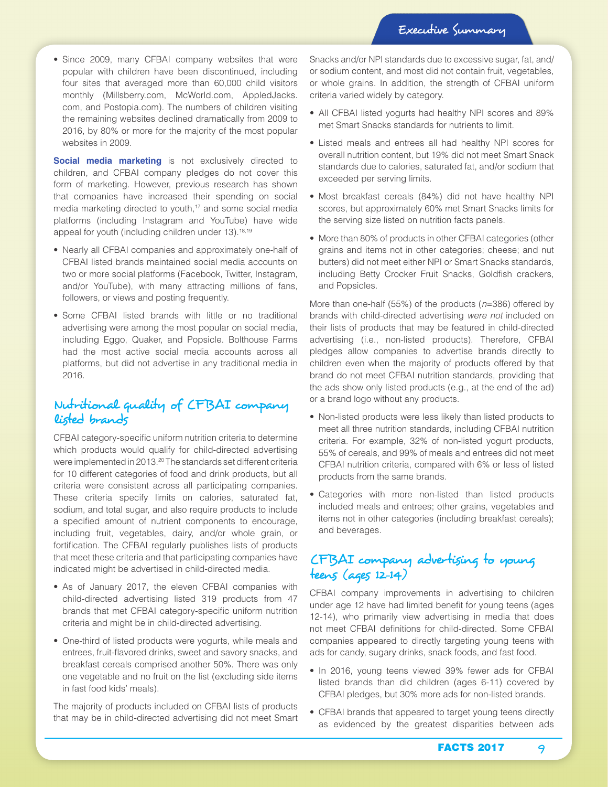• Since 2009, many CFBAI company websites that were popular with children have been discontinued, including four sites that averaged more than 60,000 child visitors monthly (Millsberry.com, McWorld.com, AppledJacks. com, and Postopia.com). The numbers of children visiting the remaining websites declined dramatically from 2009 to 2016, by 80% or more for the majority of the most popular websites in 2009.

**Social media marketing** is not exclusively directed to children, and CFBAI company pledges do not cover this form of marketing. However, previous research has shown that companies have increased their spending on social media marketing directed to youth,<sup>17</sup> and some social media platforms (including Instagram and YouTube) have wide appeal for youth (including children under 13).<sup>18,19</sup>

- Nearly all CFBAI companies and approximately one-half of CFBAI listed brands maintained social media accounts on two or more social platforms (Facebook, Twitter, Instagram, and/or YouTube), with many attracting millions of fans, followers, or views and posting frequently.
- Some CFBAI listed brands with little or no traditional advertising were among the most popular on social media, including Eggo, Quaker, and Popsicle. Bolthouse Farms had the most active social media accounts across all platforms, but did not advertise in any traditional media in 2016.

#### Nutritional quality of CFBAI company listed brands

CFBAI category-specific uniform nutrition criteria to determine which products would qualify for child-directed advertising were implemented in 2013.20 The standards set different criteria for 10 different categories of food and drink products, but all criteria were consistent across all participating companies. These criteria specify limits on calories, saturated fat, sodium, and total sugar, and also require products to include a specified amount of nutrient components to encourage, including fruit, vegetables, dairy, and/or whole grain, or fortification. The CFBAI regularly publishes lists of products that meet these criteria and that participating companies have indicated might be advertised in child-directed media.

- As of January 2017, the eleven CFBAI companies with child-directed advertising listed 319 products from 47 brands that met CFBAI category-specific uniform nutrition criteria and might be in child-directed advertising.
- One-third of listed products were yogurts, while meals and entrees, fruit-flavored drinks, sweet and savory snacks, and breakfast cereals comprised another 50%. There was only one vegetable and no fruit on the list (excluding side items in fast food kids' meals).

The majority of products included on CFBAI lists of products that may be in child-directed advertising did not meet Smart Snacks and/or NPI standards due to excessive sugar, fat, and/ or sodium content, and most did not contain fruit, vegetables, or whole grains. In addition, the strength of CFBAI uniform criteria varied widely by category.

- All CFBAI listed yogurts had healthy NPI scores and 89% met Smart Snacks standards for nutrients to limit.
- Listed meals and entrees all had healthy NPI scores for overall nutrition content, but 19% did not meet Smart Snack standards due to calories, saturated fat, and/or sodium that exceeded per serving limits.
- Most breakfast cereals (84%) did not have healthy NPI scores, but approximately 60% met Smart Snacks limits for the serving size listed on nutrition facts panels.
- More than 80% of products in other CFBAI categories (other grains and items not in other categories; cheese; and nut butters) did not meet either NPI or Smart Snacks standards, including Betty Crocker Fruit Snacks, Goldfish crackers, and Popsicles.

More than one-half (55%) of the products (*n*=386) offered by brands with child-directed advertising *were not* included on their lists of products that may be featured in child-directed advertising (i.e., non-listed products). Therefore, CFBAI pledges allow companies to advertise brands directly to children even when the majority of products offered by that brand do not meet CFBAI nutrition standards, providing that the ads show only listed products (e.g., at the end of the ad) or a brand logo without any products.

- Non-listed products were less likely than listed products to meet all three nutrition standards, including CFBAI nutrition criteria. For example, 32% of non-listed yogurt products, 55% of cereals, and 99% of meals and entrees did not meet CFBAI nutrition criteria, compared with 6% or less of listed products from the same brands.
- Categories with more non-listed than listed products included meals and entrees; other grains, vegetables and items not in other categories (including breakfast cereals); and beverages.

### CFBAI company advertising to young teens (ages 12-14)

CFBAI company improvements in advertising to children under age 12 have had limited benefit for young teens (ages 12-14), who primarily view advertising in media that does not meet CFBAI definitions for child-directed. Some CFBAI companies appeared to directly targeting young teens with ads for candy, sugary drinks, snack foods, and fast food.

- In 2016, young teens viewed 39% fewer ads for CFBAI listed brands than did children (ages 6-11) covered by CFBAI pledges, but 30% more ads for non-listed brands.
- CFBAI brands that appeared to target young teens directly as evidenced by the greatest disparities between ads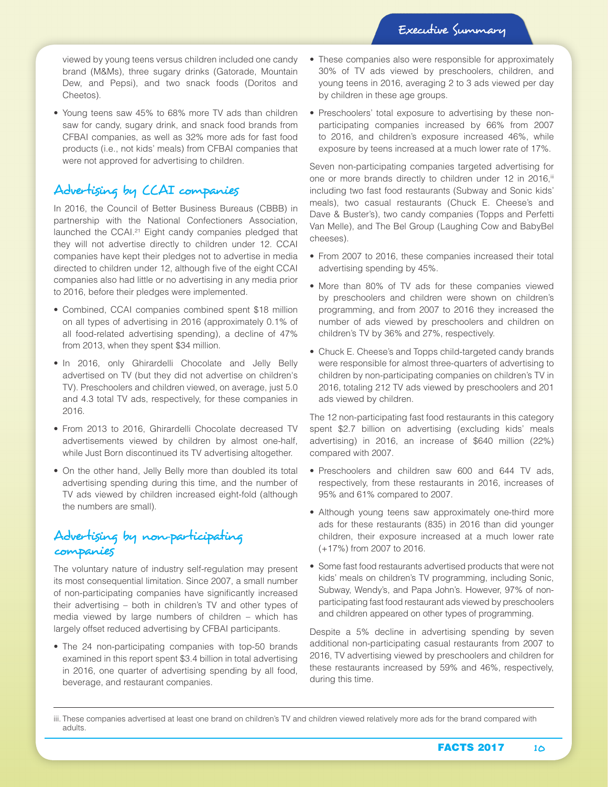viewed by young teens versus children included one candy brand (M&Ms), three sugary drinks (Gatorade, Mountain Dew, and Pepsi), and two snack foods (Doritos and Cheetos).

• Young teens saw 45% to 68% more TV ads than children saw for candy, sugary drink, and snack food brands from CFBAI companies, as well as 32% more ads for fast food products (i.e., not kids' meals) from CFBAI companies that were not approved for advertising to children.

#### Advertising by CCAI companies

In 2016, the Council of Better Business Bureaus (CBBB) in partnership with the National Confectioners Association, launched the CCAI.<sup>21</sup> Eight candy companies pledged that they will not advertise directly to children under 12. CCAI companies have kept their pledges not to advertise in media directed to children under 12, although five of the eight CCAI companies also had little or no advertising in any media prior to 2016, before their pledges were implemented.

- Combined, CCAI companies combined spent \$18 million on all types of advertising in 2016 (approximately 0.1% of all food-related advertising spending), a decline of 47% from 2013, when they spent \$34 million.
- In 2016, only Ghirardelli Chocolate and Jelly Belly advertised on TV (but they did not advertise on children's TV). Preschoolers and children viewed, on average, just 5.0 and 4.3 total TV ads, respectively, for these companies in 2016.
- From 2013 to 2016, Ghirardelli Chocolate decreased TV advertisements viewed by children by almost one-half, while Just Born discontinued its TV advertising altogether.
- On the other hand, Jelly Belly more than doubled its total advertising spending during this time, and the number of TV ads viewed by children increased eight-fold (although the numbers are small).

## Advertising by non-participating companies

The voluntary nature of industry self-regulation may present its most consequential limitation. Since 2007, a small number of non-participating companies have significantly increased their advertising – both in children's TV and other types of media viewed by large numbers of children – which has largely offset reduced advertising by CFBAI participants.

• The 24 non-participating companies with top-50 brands examined in this report spent \$3.4 billion in total advertising in 2016, one quarter of advertising spending by all food, beverage, and restaurant companies.

- These companies also were responsible for approximately 30% of TV ads viewed by preschoolers, children, and young teens in 2016, averaging 2 to 3 ads viewed per day by children in these age groups.
- Preschoolers' total exposure to advertising by these nonparticipating companies increased by 66% from 2007 to 2016, and children's exposure increased 46%, while exposure by teens increased at a much lower rate of 17%.

Seven non-participating companies targeted advertising for one or more brands directly to children under 12 in 2016, iii including two fast food restaurants (Subway and Sonic kids' meals), two casual restaurants (Chuck E. Cheese's and Dave & Buster's), two candy companies (Topps and Perfetti Van Melle), and The Bel Group (Laughing Cow and BabyBel cheeses).

- From 2007 to 2016, these companies increased their total advertising spending by 45%.
- More than 80% of TV ads for these companies viewed by preschoolers and children were shown on children's programming, and from 2007 to 2016 they increased the number of ads viewed by preschoolers and children on children's TV by 36% and 27%, respectively.
- Chuck E. Cheese's and Topps child-targeted candy brands were responsible for almost three-quarters of advertising to children by non-participating companies on children's TV in 2016, totaling 212 TV ads viewed by preschoolers and 201 ads viewed by children.

The 12 non-participating fast food restaurants in this category spent \$2.7 billion on advertising (excluding kids' meals advertising) in 2016, an increase of \$640 million (22%) compared with 2007.

- Preschoolers and children saw 600 and 644 TV ads, respectively, from these restaurants in 2016, increases of 95% and 61% compared to 2007.
- Although young teens saw approximately one-third more ads for these restaurants (835) in 2016 than did younger children, their exposure increased at a much lower rate (+17%) from 2007 to 2016.
- Some fast food restaurants advertised products that were not kids' meals on children's TV programming, including Sonic, Subway, Wendy's, and Papa John's. However, 97% of nonparticipating fast food restaurant ads viewed by preschoolers and children appeared on other types of programming.

Despite a 5% decline in advertising spending by seven additional non-participating casual restaurants from 2007 to 2016, TV advertising viewed by preschoolers and children for these restaurants increased by 59% and 46%, respectively, during this time.

iii. These companies advertised at least one brand on children's TV and children viewed relatively more ads for the brand compared with adults.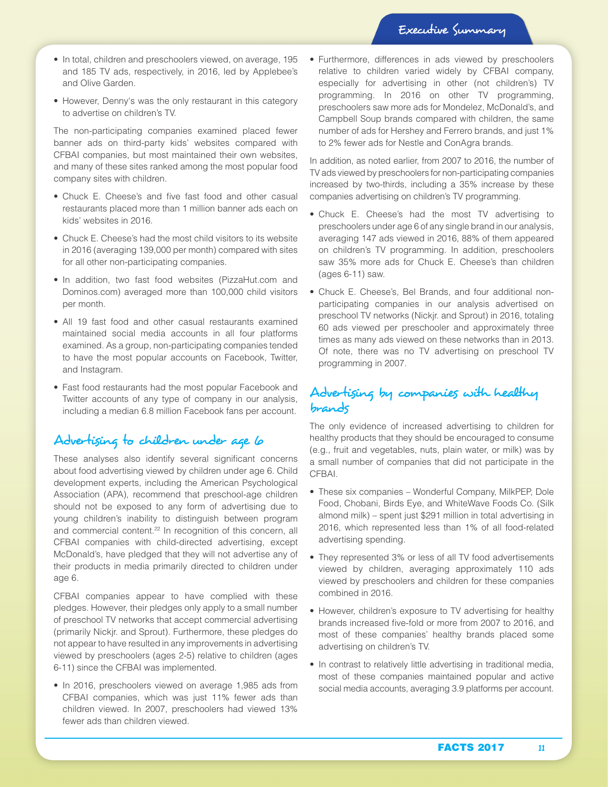- In total, children and preschoolers viewed, on average, 195 and 185 TV ads, respectively, in 2016, led by Applebee's and Olive Garden.
- However, Denny's was the only restaurant in this category to advertise on children's TV.

The non-participating companies examined placed fewer banner ads on third-party kids' websites compared with CFBAI companies, but most maintained their own websites, and many of these sites ranked among the most popular food company sites with children.

- Chuck E. Cheese's and five fast food and other casual restaurants placed more than 1 million banner ads each on kids' websites in 2016.
- Chuck E. Cheese's had the most child visitors to its website in 2016 (averaging 139,000 per month) compared with sites for all other non-participating companies.
- In addition, two fast food websites (PizzaHut.com and Dominos.com) averaged more than 100,000 child visitors per month.
- All 19 fast food and other casual restaurants examined maintained social media accounts in all four platforms examined. As a group, non-participating companies tended to have the most popular accounts on Facebook, Twitter, and Instagram.
- Fast food restaurants had the most popular Facebook and Twitter accounts of any type of company in our analysis, including a median 6.8 million Facebook fans per account.

### Advertising to children under age 6

These analyses also identify several significant concerns about food advertising viewed by children under age 6. Child development experts, including the American Psychological Association (APA), recommend that preschool-age children should not be exposed to any form of advertising due to young children's inability to distinguish between program and commercial content.<sup>22</sup> In recognition of this concern, all CFBAI companies with child-directed advertising, except McDonald's, have pledged that they will not advertise any of their products in media primarily directed to children under age 6.

CFBAI companies appear to have complied with these pledges. However, their pledges only apply to a small number of preschool TV networks that accept commercial advertising (primarily Nickjr. and Sprout). Furthermore, these pledges do not appear to have resulted in any improvements in advertising viewed by preschoolers (ages 2-5) relative to children (ages 6-11) since the CFBAI was implemented.

• In 2016, preschoolers viewed on average 1,985 ads from CFBAI companies, which was just 11% fewer ads than children viewed. In 2007, preschoolers had viewed 13% fewer ads than children viewed.

• Furthermore, differences in ads viewed by preschoolers relative to children varied widely by CFBAI company, especially for advertising in other (not children's) TV programming. In 2016 on other TV programming, preschoolers saw more ads for Mondelez, McDonald's, and Campbell Soup brands compared with children, the same number of ads for Hershey and Ferrero brands, and just 1% to 2% fewer ads for Nestle and ConAgra brands.

In addition, as noted earlier, from 2007 to 2016, the number of TV ads viewed by preschoolers for non-participating companies increased by two-thirds, including a 35% increase by these companies advertising on children's TV programming.

- Chuck E. Cheese's had the most TV advertising to preschoolers under age 6 of any single brand in our analysis, averaging 147 ads viewed in 2016, 88% of them appeared on children's TV programming. In addition, preschoolers saw 35% more ads for Chuck E. Cheese's than children (ages 6-11) saw.
- Chuck E. Cheese's, Bel Brands, and four additional nonparticipating companies in our analysis advertised on preschool TV networks (Nickjr. and Sprout) in 2016, totaling 60 ads viewed per preschooler and approximately three times as many ads viewed on these networks than in 2013. Of note, there was no TV advertising on preschool TV programming in 2007.

### Advertising by companies with healthy brands

The only evidence of increased advertising to children for healthy products that they should be encouraged to consume (e.g., fruit and vegetables, nuts, plain water, or milk) was by a small number of companies that did not participate in the CFBAI.

- These six companies Wonderful Company, MilkPEP, Dole Food, Chobani, Birds Eye, and WhiteWave Foods Co. (Silk almond milk) – spent just \$291 million in total advertising in 2016, which represented less than 1% of all food-related advertising spending.
- They represented 3% or less of all TV food advertisements viewed by children, averaging approximately 110 ads viewed by preschoolers and children for these companies combined in 2016.
- However, children's exposure to TV advertising for healthy brands increased five-fold or more from 2007 to 2016, and most of these companies' healthy brands placed some advertising on children's TV.
- In contrast to relatively little advertising in traditional media, most of these companies maintained popular and active social media accounts, averaging 3.9 platforms per account.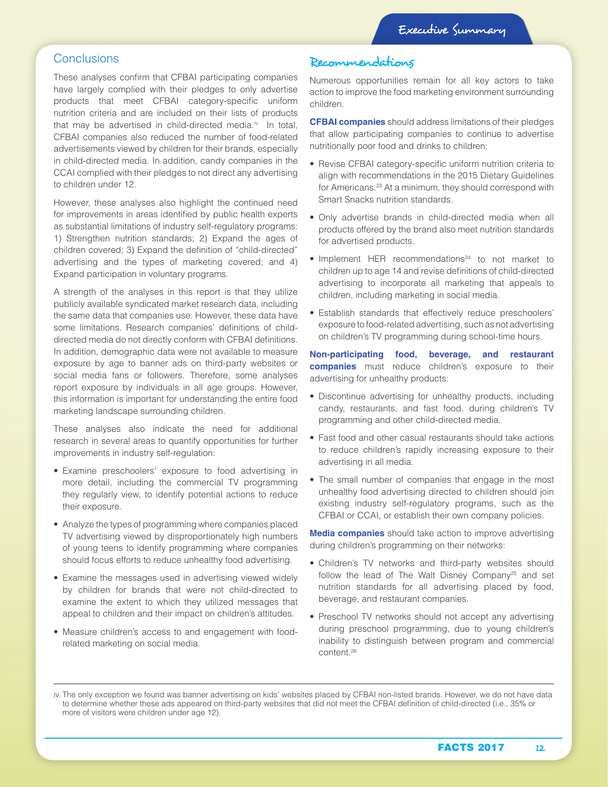#### **Conclusions**

These analyses confirm that CFBAI participating companies have largely complied with their pledges to only advertise products that meet CFBAI category-specific uniform nutrition criteria and are included on their lists of products that may be advertised in child-directed media.<sup>iv</sup> In total, CFBAI companies also reduced the number of food-related advertisements viewed by children for their brands, especially in child-directed media. In addition, candy companies in the CCAI complied with their pledges to not direct any advertising to children under 12.

However, these analyses also highlight the continued need for improvements in areas identified by public health experts as substantial limitations of industry self-regulatory programs: 1) Strengthen nutrition standards; 2) Expand the ages of children covered; 3) Expand the definition of "child-directed" advertising and the types of marketing covered; and 4) Expand participation in voluntary programs.

A strength of the analyses in this report is that they utilize publicly available syndicated market research data, including the same data that companies use. However, these data have some limitations. Research companies' definitions of childdirected media do not directly conform with CFBAI definitions. In addition, demographic data were not available to measure exposure by age to banner ads on third-party websites or social media fans or followers. Therefore, some analyses report exposure by individuals in all age groups. However, this information is important for understanding the entire food marketing landscape surrounding children.

These analyses also indicate the need for additional research in several areas to quantify opportunities for further improvements in industry self-regulation:

- Examine preschoolers' exposure to food advertising in more detail, including the commercial TV programming they regularly view, to identify potential actions to reduce their exposure.
- Analyze the types of programming where companies placed TV advertising viewed by disproportionately high numbers of young teens to identify programming where companies should focus efforts to reduce unhealthy food advertising.
- Examine the messages used in advertising viewed widely by children for brands that were not child-directed to examine the extent to which they utilized messages that appeal to children and their impact on children's attitudes.
- Measure children's access to and engagement with foodrelated marketing on social media.

# Recommendations

Numerous opportunities remain for all key actors to take action to improve the food marketing environment surrounding children.

**CFBAI companies** should address limitations of their pledges that allow participating companies to continue to advertise nutritionally poor food and drinks to children:

- Revise CFBAI category-specific uniform nutrition criteria to align with recommendations in the 2015 Dietary Guidelines for Americans.23 At a minimum, they should correspond with Smart Snacks nutrition standards.
- Only advertise brands in child-directed media when all products offered by the brand also meet nutrition standards for advertised products.
- $\bullet$  Implement HER recommendations<sup>24</sup> to not market to children up to age 14 and revise definitions of child-directed advertising to incorporate all marketing that appeals to children, including marketing in social media.
- Establish standards that effectively reduce preschoolers' exposure to food-related advertising, such as not advertising on children's TV programming during school-time hours.

**Non-participating food, beverage, and restaurant companies** must reduce children's exposure to their advertising for unhealthy products:

- Discontinue advertising for unhealthy products, including candy, restaurants, and fast food, during children's TV programming and other child-directed media.
- Fast food and other casual restaurants should take actions to reduce children's rapidly increasing exposure to their advertising in all media.
- The small number of companies that engage in the most unhealthy food advertising directed to children should join existing industry self-regulatory programs, such as the CFBAI or CCAI, or establish their own company policies.

**Media companies** should take action to improve advertising during children's programming on their networks:

- Children's TV networks and third-party websites should follow the lead of The Walt Disney Company<sup>25</sup> and set nutrition standards for all advertising placed by food, beverage, and restaurant companies.
- Preschool TV networks should not accept any advertising during preschool programming, due to young children's inability to distinguish between program and commercial content.26

iv. The only exception we found was banner advertising on kids' websites placed by CFBAI non-listed brands. However, we do not have data to determine whether these ads appeared on third-party websites that did not meet the CFBAI definition of child-directed (i.e., 35% or more of visitors were children under age 12).